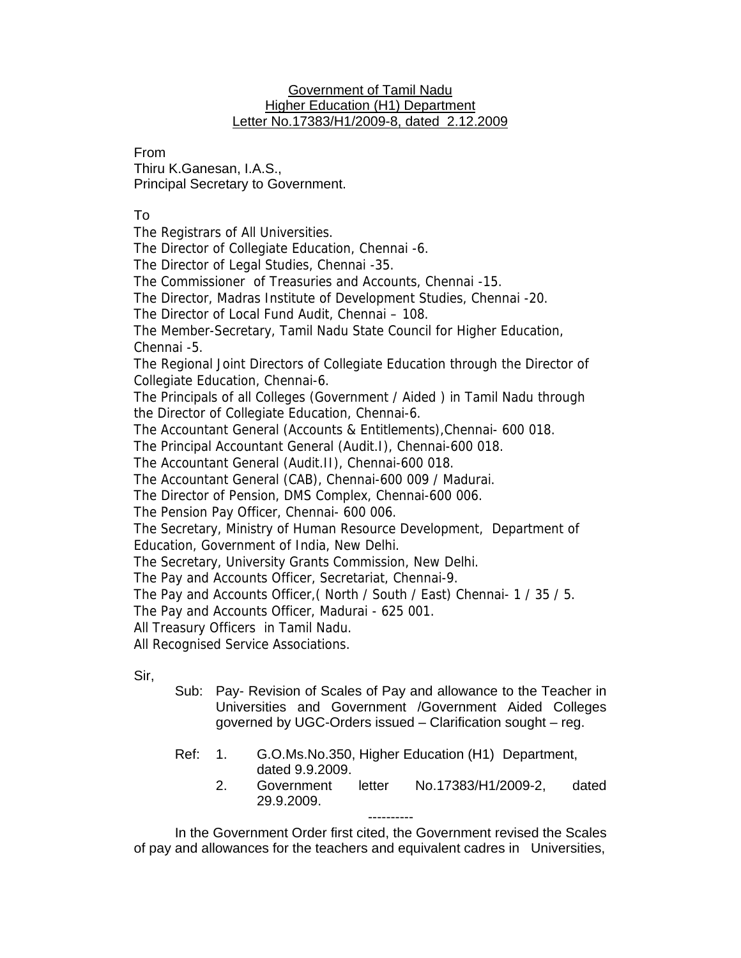## Government of Tamil Nadu Higher Education (H1) Department Letter No.17383/H1/2009-8, dated 2.12.2009

## From

Thiru K.Ganesan, I.A.S., Principal Secretary to Government.

## To

The Registrars of All Universities.

The Director of Collegiate Education, Chennai -6.

The Director of Legal Studies, Chennai -35.

The Commissioner of Treasuries and Accounts, Chennai -15.

The Director, Madras Institute of Development Studies, Chennai -20.

The Director of Local Fund Audit, Chennai – 108.

The Member-Secretary, Tamil Nadu State Council for Higher Education, Chennai -5.

The Regional Joint Directors of Collegiate Education through the Director of Collegiate Education, Chennai-6.

The Principals of all Colleges (Government / Aided ) in Tamil Nadu through the Director of Collegiate Education, Chennai-6.

The Accountant General (Accounts & Entitlements),Chennai- 600 018.

The Principal Accountant General (Audit.I), Chennai-600 018.

The Accountant General (Audit.II), Chennai-600 018.

The Accountant General (CAB), Chennai-600 009 / Madurai.

The Director of Pension, DMS Complex, Chennai-600 006.

The Pension Pay Officer, Chennai- 600 006.

The Secretary, Ministry of Human Resource Development, Department of Education, Government of India, New Delhi.

The Secretary, University Grants Commission, New Delhi.

The Pay and Accounts Officer, Secretariat, Chennai-9.

The Pay and Accounts Officer,( North / South / East) Chennai- 1 / 35 / 5.

The Pay and Accounts Officer, Madurai - 625 001.

All Treasury Officers in Tamil Nadu.

All Recognised Service Associations.

Sir,

- Sub: Pay- Revision of Scales of Pay and allowance to the Teacher in Universities and Government /Government Aided Colleges governed by UGC-Orders issued – Clarification sought – reg.
- Ref: 1. G.O.Ms.No.350, Higher Education (H1) Department, dated 9.9.2009.
	- 2. Government letter No.17383/H1/2009-2, dated 29.9.2009.

---------- In the Government Order first cited, the Government revised the Scales of pay and allowances for the teachers and equivalent cadres in Universities,